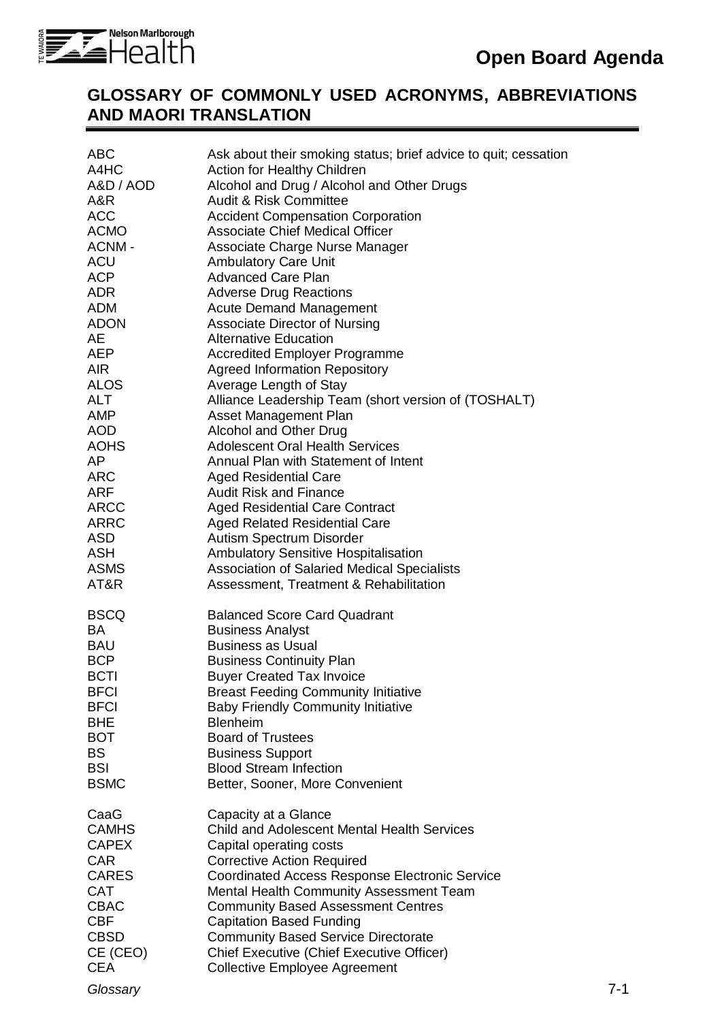

## **GLOSSARY OF COMMONLY USED ACRONYMS, ABBREVIATIONS AND MAORI TRANSLATION**

| <b>ABC</b><br>A4HC<br>A&D / AOD<br>A&R<br><b>ACC</b><br><b>ACMO</b><br>ACNM-<br><b>ACU</b><br>ACP<br>ADR<br>ADM<br>ADON<br>AE<br>AEP<br><b>AIR</b><br><b>ALOS</b><br><b>ALT</b><br><b>AMP</b><br><b>AOD</b><br>AOHS<br>AP<br><b>ARC</b><br>ARF<br><b>ARCC</b><br><b>ARRC</b><br><b>ASD</b><br><b>ASH</b><br><b>ASMS</b><br>AT&R | Ask about their smoking status; brief advice to quit; cessation<br>Action for Healthy Children<br>Alcohol and Drug / Alcohol and Other Drugs<br><b>Audit &amp; Risk Committee</b><br><b>Accident Compensation Corporation</b><br><b>Associate Chief Medical Officer</b><br>Associate Charge Nurse Manager<br><b>Ambulatory Care Unit</b><br><b>Advanced Care Plan</b><br><b>Adverse Drug Reactions</b><br><b>Acute Demand Management</b><br><b>Associate Director of Nursing</b><br><b>Alternative Education</b><br><b>Accredited Employer Programme</b><br><b>Agreed Information Repository</b><br>Average Length of Stay<br>Alliance Leadership Team (short version of (TOSHALT)<br>Asset Management Plan<br>Alcohol and Other Drug<br><b>Adolescent Oral Health Services</b><br>Annual Plan with Statement of Intent<br><b>Aged Residential Care</b><br><b>Audit Risk and Finance</b><br><b>Aged Residential Care Contract</b><br><b>Aged Related Residential Care</b><br>Autism Spectrum Disorder<br><b>Ambulatory Sensitive Hospitalisation</b><br>Association of Salaried Medical Specialists |         |
|---------------------------------------------------------------------------------------------------------------------------------------------------------------------------------------------------------------------------------------------------------------------------------------------------------------------------------|-----------------------------------------------------------------------------------------------------------------------------------------------------------------------------------------------------------------------------------------------------------------------------------------------------------------------------------------------------------------------------------------------------------------------------------------------------------------------------------------------------------------------------------------------------------------------------------------------------------------------------------------------------------------------------------------------------------------------------------------------------------------------------------------------------------------------------------------------------------------------------------------------------------------------------------------------------------------------------------------------------------------------------------------------------------------------------------------------------|---------|
| <b>BSCQ</b><br>BA<br><b>BAU</b><br><b>BCP</b><br><b>BCTI</b><br><b>BFCI</b><br><b>BFCI</b><br><b>BHE</b><br><b>BOT</b><br><b>BS</b><br><b>BSI</b><br><b>BSMC</b>                                                                                                                                                                | Assessment, Treatment & Rehabilitation<br><b>Balanced Score Card Quadrant</b><br><b>Business Analyst</b><br><b>Business as Usual</b><br><b>Business Continuity Plan</b><br><b>Buyer Created Tax Invoice</b><br><b>Breast Feeding Community Initiative</b><br><b>Baby Friendly Community Initiative</b><br><b>Blenheim</b><br><b>Board of Trustees</b><br><b>Business Support</b><br><b>Blood Stream Infection</b><br>Better, Sooner, More Convenient                                                                                                                                                                                                                                                                                                                                                                                                                                                                                                                                                                                                                                                |         |
| CaaG<br><b>CAMHS</b><br><b>CAPEX</b><br><b>CAR</b><br><b>CARES</b><br><b>CAT</b><br><b>CBAC</b><br><b>CBF</b><br><b>CBSD</b><br>CE (CEO)<br><b>CEA</b><br>Glossary                                                                                                                                                              | Capacity at a Glance<br><b>Child and Adolescent Mental Health Services</b><br>Capital operating costs<br><b>Corrective Action Required</b><br><b>Coordinated Access Response Electronic Service</b><br>Mental Health Community Assessment Team<br><b>Community Based Assessment Centres</b><br><b>Capitation Based Funding</b><br><b>Community Based Service Directorate</b><br>Chief Executive (Chief Executive Officer)<br><b>Collective Employee Agreement</b>                                                                                                                                                                                                                                                                                                                                                                                                                                                                                                                                                                                                                                   | $7 - 1$ |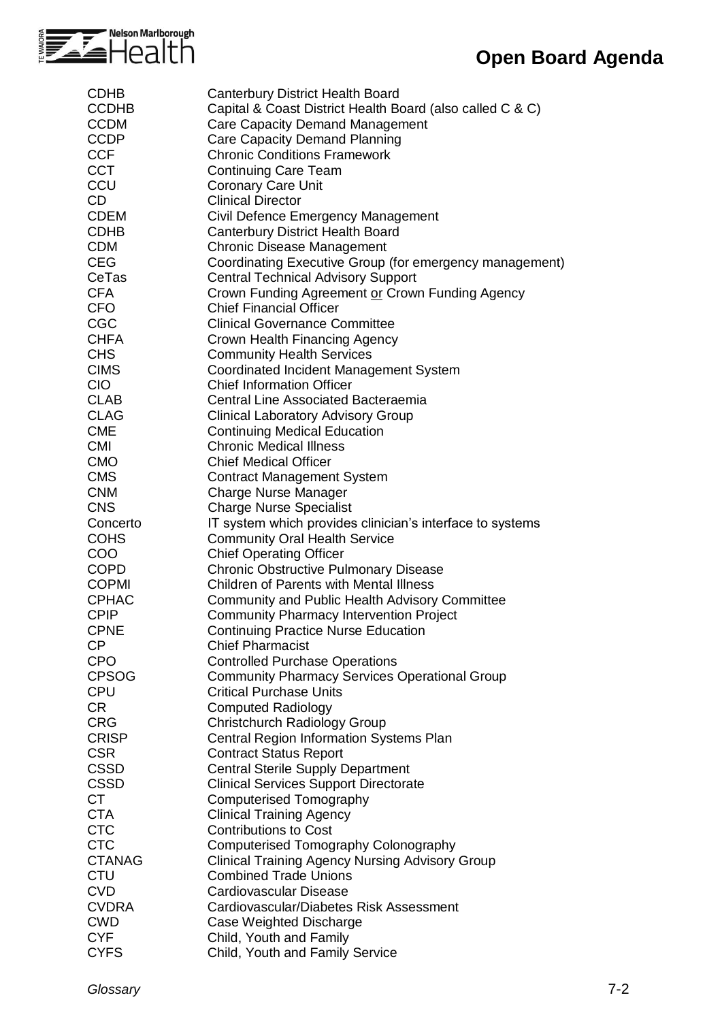

## **Open Board Agenda**

| <b>CDHB</b>   | <b>Canterbury District Health Board</b>                   |
|---------------|-----------------------------------------------------------|
| <b>CCDHB</b>  | Capital & Coast District Health Board (also called C & C) |
| <b>CCDM</b>   | <b>Care Capacity Demand Management</b>                    |
| <b>CCDP</b>   | Care Capacity Demand Planning                             |
| <b>CCF</b>    | <b>Chronic Conditions Framework</b>                       |
| <b>CCT</b>    | <b>Continuing Care Team</b>                               |
| CCU           | <b>Coronary Care Unit</b>                                 |
| CD            | <b>Clinical Director</b>                                  |
| <b>CDEM</b>   | Civil Defence Emergency Management                        |
| <b>CDHB</b>   | <b>Canterbury District Health Board</b>                   |
| <b>CDM</b>    | <b>Chronic Disease Management</b>                         |
| <b>CEG</b>    | Coordinating Executive Group (for emergency management)   |
| CeTas         |                                                           |
|               | <b>Central Technical Advisory Support</b>                 |
| <b>CFA</b>    | Crown Funding Agreement or Crown Funding Agency           |
| <b>CFO</b>    | <b>Chief Financial Officer</b>                            |
| CGC           | <b>Clinical Governance Committee</b>                      |
| <b>CHFA</b>   | Crown Health Financing Agency                             |
| <b>CHS</b>    | <b>Community Health Services</b>                          |
| <b>CIMS</b>   | Coordinated Incident Management System                    |
| <b>CIO</b>    | <b>Chief Information Officer</b>                          |
| <b>CLAB</b>   | <b>Central Line Associated Bacteraemia</b>                |
| <b>CLAG</b>   | <b>Clinical Laboratory Advisory Group</b>                 |
| <b>CME</b>    | <b>Continuing Medical Education</b>                       |
| <b>CMI</b>    | <b>Chronic Medical Illness</b>                            |
| <b>CMO</b>    | <b>Chief Medical Officer</b>                              |
| <b>CMS</b>    | <b>Contract Management System</b>                         |
| <b>CNM</b>    | <b>Charge Nurse Manager</b>                               |
| <b>CNS</b>    | <b>Charge Nurse Specialist</b>                            |
| Concerto      | IT system which provides clinician's interface to systems |
| <b>COHS</b>   | <b>Community Oral Health Service</b>                      |
| <b>COO</b>    | <b>Chief Operating Officer</b>                            |
| <b>COPD</b>   | <b>Chronic Obstructive Pulmonary Disease</b>              |
| <b>COPMI</b>  | <b>Children of Parents with Mental Illness</b>            |
| <b>CPHAC</b>  | <b>Community and Public Health Advisory Committee</b>     |
| <b>CPIP</b>   | <b>Community Pharmacy Intervention Project</b>            |
| <b>CPNE</b>   | <b>Continuing Practice Nurse Education</b>                |
| <b>CP</b>     | <b>Chief Pharmacist</b>                                   |
| <b>CPO</b>    |                                                           |
|               | <b>Controlled Purchase Operations</b>                     |
| <b>CPSOG</b>  | <b>Community Pharmacy Services Operational Group</b>      |
| <b>CPU</b>    | <b>Critical Purchase Units</b>                            |
| CR            | <b>Computed Radiology</b>                                 |
| <b>CRG</b>    | Christchurch Radiology Group                              |
| <b>CRISP</b>  | Central Region Information Systems Plan                   |
| <b>CSR</b>    | <b>Contract Status Report</b>                             |
| <b>CSSD</b>   | <b>Central Sterile Supply Department</b>                  |
| <b>CSSD</b>   | <b>Clinical Services Support Directorate</b>              |
| <b>CT</b>     | <b>Computerised Tomography</b>                            |
| <b>CTA</b>    | <b>Clinical Training Agency</b>                           |
| <b>CTC</b>    | <b>Contributions to Cost</b>                              |
| <b>CTC</b>    | Computerised Tomography Colonography                      |
| <b>CTANAG</b> | <b>Clinical Training Agency Nursing Advisory Group</b>    |
| <b>CTU</b>    | <b>Combined Trade Unions</b>                              |
| <b>CVD</b>    | <b>Cardiovascular Disease</b>                             |
| <b>CVDRA</b>  | Cardiovascular/Diabetes Risk Assessment                   |
| <b>CWD</b>    | Case Weighted Discharge                                   |
| <b>CYF</b>    | Child, Youth and Family                                   |
| <b>CYFS</b>   | Child, Youth and Family Service                           |
|               |                                                           |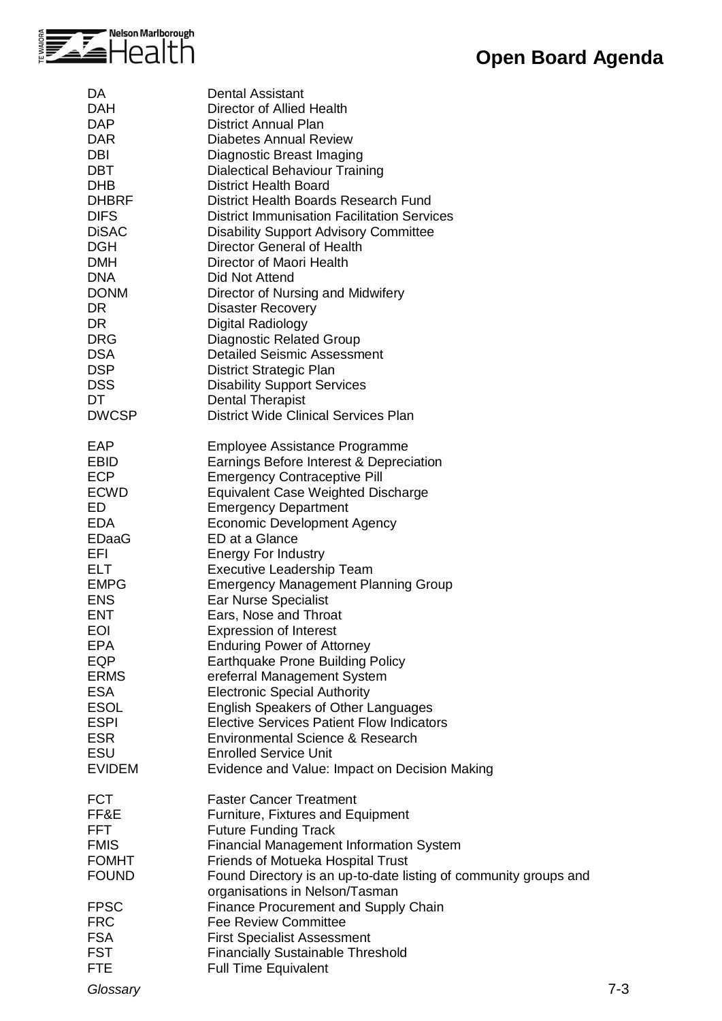

| DA           | <b>Dental Assistant</b>                                          |
|--------------|------------------------------------------------------------------|
| <b>DAH</b>   | Director of Allied Health                                        |
| <b>DAP</b>   | <b>District Annual Plan</b>                                      |
| <b>DAR</b>   | <b>Diabetes Annual Review</b>                                    |
| DBI          | Diagnostic Breast Imaging                                        |
| <b>DBT</b>   | <b>Dialectical Behaviour Training</b>                            |
|              |                                                                  |
| <b>DHB</b>   | <b>District Health Board</b>                                     |
| <b>DHBRF</b> | District Health Boards Research Fund                             |
| <b>DIFS</b>  | <b>District Immunisation Facilitation Services</b>               |
| <b>DiSAC</b> | <b>Disability Support Advisory Committee</b>                     |
| <b>DGH</b>   | Director General of Health                                       |
| <b>DMH</b>   | Director of Maori Health                                         |
| <b>DNA</b>   | Did Not Attend                                                   |
| <b>DONM</b>  | Director of Nursing and Midwifery                                |
| DR.          | <b>Disaster Recovery</b>                                         |
| DR.          | Digital Radiology                                                |
| <b>DRG</b>   | <b>Diagnostic Related Group</b>                                  |
| <b>DSA</b>   | <b>Detailed Seismic Assessment</b>                               |
| <b>DSP</b>   | District Strategic Plan                                          |
| <b>DSS</b>   |                                                                  |
|              | <b>Disability Support Services</b>                               |
| DT           | <b>Dental Therapist</b>                                          |
| <b>DWCSP</b> | <b>District Wide Clinical Services Plan</b>                      |
| EAP          | Employee Assistance Programme                                    |
| <b>EBID</b>  | Earnings Before Interest & Depreciation                          |
| <b>ECP</b>   | <b>Emergency Contraceptive Pill</b>                              |
| <b>ECWD</b>  | <b>Equivalent Case Weighted Discharge</b>                        |
| ED           | <b>Emergency Department</b>                                      |
| <b>EDA</b>   | Economic Development Agency                                      |
| <b>EDaaG</b> | ED at a Glance                                                   |
| EFI          | <b>Energy For Industry</b>                                       |
| <b>ELT</b>   |                                                                  |
|              | <b>Executive Leadership Team</b>                                 |
| <b>EMPG</b>  | <b>Emergency Management Planning Group</b>                       |
| <b>ENS</b>   | <b>Ear Nurse Specialist</b>                                      |
| <b>ENT</b>   | Ears, Nose and Throat                                            |
| <b>EOI</b>   | <b>Expression of Interest</b>                                    |
| <b>EPA</b>   | <b>Enduring Power of Attorney</b>                                |
| EQP          | <b>Earthquake Prone Building Policy</b>                          |
| <b>ERMS</b>  | ereferral Management System                                      |
| <b>ESA</b>   | <b>Electronic Special Authority</b>                              |
| <b>ESOL</b>  | <b>English Speakers of Other Languages</b>                       |
| <b>ESPI</b>  | <b>Elective Services Patient Flow Indicators</b>                 |
| <b>ESR</b>   | Environmental Science & Research                                 |
| <b>ESU</b>   | <b>Enrolled Service Unit</b>                                     |
| EVIDEM       | Evidence and Value: Impact on Decision Making                    |
|              |                                                                  |
| <b>FCT</b>   | <b>Faster Cancer Treatment</b>                                   |
| FF&E         | Furniture, Fixtures and Equipment                                |
| FFT          | <b>Future Funding Track</b>                                      |
| <b>FMIS</b>  | <b>Financial Management Information System</b>                   |
| <b>FOMHT</b> | Friends of Motueka Hospital Trust                                |
| <b>FOUND</b> | Found Directory is an up-to-date listing of community groups and |
|              | organisations in Nelson/Tasman                                   |
| <b>FPSC</b>  | <b>Finance Procurement and Supply Chain</b>                      |
| <b>FRC</b>   | <b>Fee Review Committee</b>                                      |
|              |                                                                  |
| <b>FSA</b>   | <b>First Specialist Assessment</b>                               |
| <b>FST</b>   | <b>Financially Sustainable Threshold</b>                         |
| <b>FTE</b>   | <b>Full Time Equivalent</b>                                      |

*Glossary* 7-3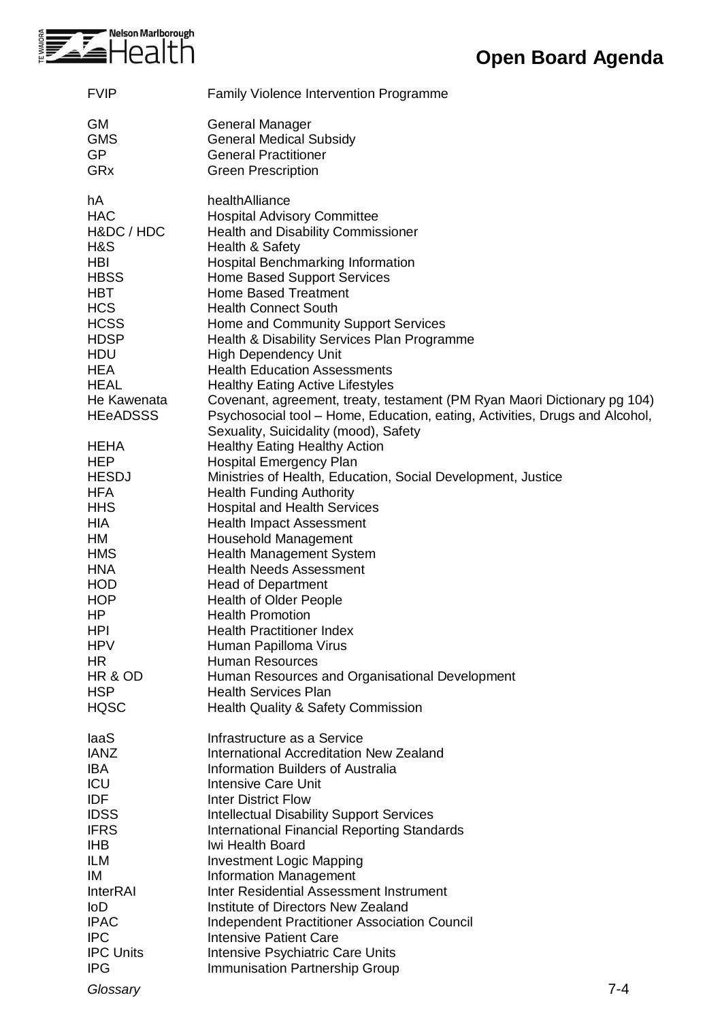

| <b>FVIP</b>                | <b>Family Violence Intervention Programme</b>                               |
|----------------------------|-----------------------------------------------------------------------------|
| <b>GM</b>                  | General Manager                                                             |
| <b>GMS</b>                 | <b>General Medical Subsidy</b>                                              |
| <b>GP</b>                  | <b>General Practitioner</b>                                                 |
| GRx                        | <b>Green Prescription</b>                                                   |
| hA                         | healthAlliance                                                              |
| <b>HAC</b>                 | <b>Hospital Advisory Committee</b>                                          |
| H&DC / HDC                 | <b>Health and Disability Commissioner</b>                                   |
| H&S                        | Health & Safety                                                             |
| <b>HBI</b>                 | Hospital Benchmarking Information                                           |
| <b>HBSS</b>                | <b>Home Based Support Services</b>                                          |
| <b>HBT</b>                 | <b>Home Based Treatment</b>                                                 |
| <b>HCS</b>                 | <b>Health Connect South</b>                                                 |
| <b>HCSS</b><br><b>HDSP</b> | Home and Community Support Services                                         |
| <b>HDU</b>                 | Health & Disability Services Plan Programme<br><b>High Dependency Unit</b>  |
| <b>HEA</b>                 | <b>Health Education Assessments</b>                                         |
| <b>HEAL</b>                | <b>Healthy Eating Active Lifestyles</b>                                     |
| He Kawenata                | Covenant, agreement, treaty, testament (PM Ryan Maori Dictionary pg 104)    |
| <b>HEeADSSS</b>            | Psychosocial tool – Home, Education, eating, Activities, Drugs and Alcohol, |
|                            | Sexuality, Suicidality (mood), Safety                                       |
| <b>HEHA</b>                | <b>Healthy Eating Healthy Action</b>                                        |
| <b>HEP</b>                 | <b>Hospital Emergency Plan</b>                                              |
| <b>HESDJ</b>               | Ministries of Health, Education, Social Development, Justice                |
| <b>HFA</b>                 | <b>Health Funding Authority</b>                                             |
| <b>HHS</b>                 | <b>Hospital and Health Services</b>                                         |
| HIA                        | <b>Health Impact Assessment</b>                                             |
| HM                         | Household Management                                                        |
| <b>HMS</b>                 | Health Management System                                                    |
| <b>HNA</b>                 | <b>Health Needs Assessment</b>                                              |
| <b>HOD</b>                 | <b>Head of Department</b>                                                   |
| <b>HOP</b><br>HP           | <b>Health of Older People</b>                                               |
| <b>HPI</b>                 | <b>Health Promotion</b><br><b>Health Practitioner Index</b>                 |
| <b>HPV</b>                 | Human Papilloma Virus                                                       |
| HR                         | <b>Human Resources</b>                                                      |
| HR & OD                    | Human Resources and Organisational Development                              |
| <b>HSP</b>                 | <b>Health Services Plan</b>                                                 |
| <b>HQSC</b>                | <b>Health Quality &amp; Safety Commission</b>                               |
| laaS                       | Infrastructure as a Service                                                 |
| <b>IANZ</b>                | <b>International Accreditation New Zealand</b>                              |
| <b>IBA</b>                 | <b>Information Builders of Australia</b>                                    |
| ICU                        | <b>Intensive Care Unit</b>                                                  |
| <b>IDF</b>                 | <b>Inter District Flow</b>                                                  |
| <b>IDSS</b>                | <b>Intellectual Disability Support Services</b>                             |
| <b>IFRS</b>                | <b>International Financial Reporting Standards</b>                          |
| <b>IHB</b>                 | Iwi Health Board                                                            |
| <b>ILM</b>                 | <b>Investment Logic Mapping</b>                                             |
| IM                         | <b>Information Management</b><br>Inter Residential Assessment Instrument    |
| <b>InterRAI</b><br>loD     | Institute of Directors New Zealand                                          |
| <b>IPAC</b>                | <b>Independent Practitioner Association Council</b>                         |
| <b>IPC</b>                 | <b>Intensive Patient Care</b>                                               |
| <b>IPC Units</b>           | Intensive Psychiatric Care Units                                            |
| <b>IPG</b>                 | <b>Immunisation Partnership Group</b>                                       |
|                            |                                                                             |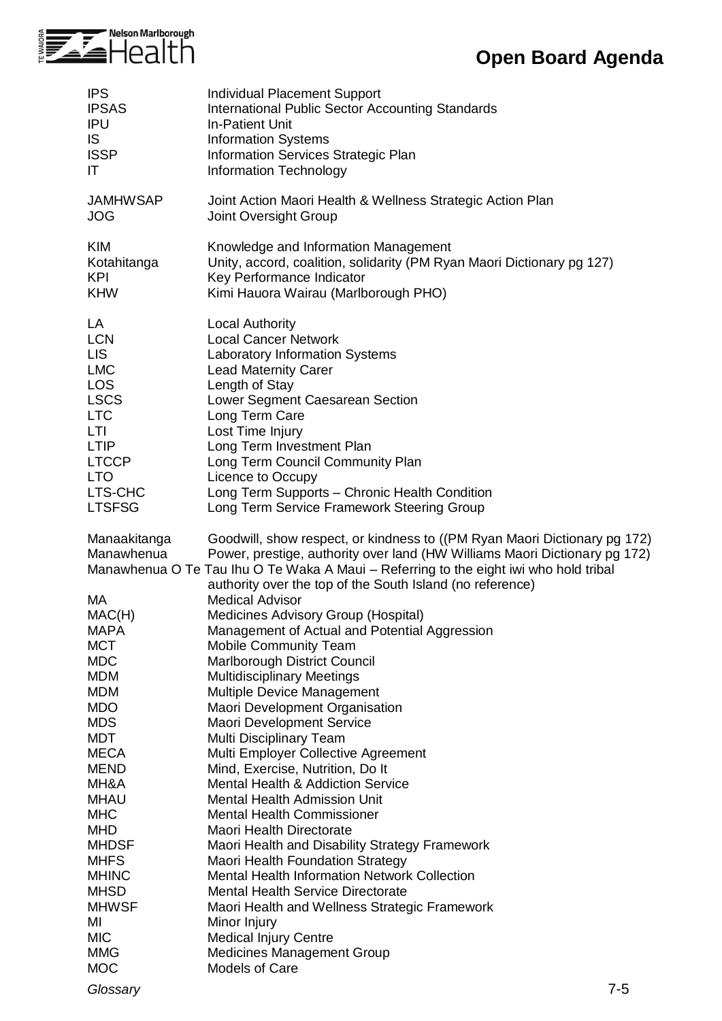

## **Open Board Agenda**

| <b>IPS</b>                 | Individual Placement Support                                                                                                                                                                                                                                                                                  |
|----------------------------|---------------------------------------------------------------------------------------------------------------------------------------------------------------------------------------------------------------------------------------------------------------------------------------------------------------|
| <b>IPSAS</b>               | <b>International Public Sector Accounting Standards</b>                                                                                                                                                                                                                                                       |
| <b>IPU</b>                 | <b>In-Patient Unit</b>                                                                                                                                                                                                                                                                                        |
| IS                         | <b>Information Systems</b>                                                                                                                                                                                                                                                                                    |
| <b>ISSP</b>                | Information Services Strategic Plan                                                                                                                                                                                                                                                                           |
| IT                         | Information Technology                                                                                                                                                                                                                                                                                        |
| <b>JAMHWSAP</b>            | Joint Action Maori Health & Wellness Strategic Action Plan                                                                                                                                                                                                                                                    |
| <b>JOG</b>                 | Joint Oversight Group                                                                                                                                                                                                                                                                                         |
| <b>KIM</b>                 | Knowledge and Information Management                                                                                                                                                                                                                                                                          |
| Kotahitanga                | Unity, accord, coalition, solidarity (PM Ryan Maori Dictionary pg 127)                                                                                                                                                                                                                                        |
| <b>KPI</b>                 | Key Performance Indicator                                                                                                                                                                                                                                                                                     |
| <b>KHW</b>                 | Kimi Hauora Wairau (Marlborough PHO)                                                                                                                                                                                                                                                                          |
| LA                         | <b>Local Authority</b>                                                                                                                                                                                                                                                                                        |
| <b>LCN</b>                 | <b>Local Cancer Network</b>                                                                                                                                                                                                                                                                                   |
| <b>LIS</b>                 | <b>Laboratory Information Systems</b>                                                                                                                                                                                                                                                                         |
| <b>LMC</b>                 | <b>Lead Maternity Carer</b>                                                                                                                                                                                                                                                                                   |
| <b>LOS</b>                 | Length of Stay                                                                                                                                                                                                                                                                                                |
| <b>LSCS</b>                | Lower Segment Caesarean Section                                                                                                                                                                                                                                                                               |
| <b>LTC</b>                 | Long Term Care                                                                                                                                                                                                                                                                                                |
| LTI                        | Lost Time Injury                                                                                                                                                                                                                                                                                              |
| <b>LTIP</b>                | Long Term Investment Plan                                                                                                                                                                                                                                                                                     |
| <b>LTCCP</b>               | Long Term Council Community Plan                                                                                                                                                                                                                                                                              |
| <b>LTO</b>                 | Licence to Occupy                                                                                                                                                                                                                                                                                             |
| LTS-CHC                    | Long Term Supports - Chronic Health Condition                                                                                                                                                                                                                                                                 |
| <b>LTSFSG</b>              | Long Term Service Framework Steering Group                                                                                                                                                                                                                                                                    |
| Manaakitanga<br>Manawhenua | Goodwill, show respect, or kindness to ((PM Ryan Maori Dictionary pg 172)<br>Power, prestige, authority over land (HW Williams Maori Dictionary pg 172)<br>Manawhenua O Te Tau Ihu O Te Waka A Maui - Referring to the eight iwi who hold tribal<br>authority over the top of the South Island (no reference) |
| МA                         | <b>Medical Advisor</b>                                                                                                                                                                                                                                                                                        |
| MAC(H)                     | Medicines Advisory Group (Hospital)                                                                                                                                                                                                                                                                           |
| MAPA                       | Management of Actual and Potential Aggression                                                                                                                                                                                                                                                                 |
| <b>MCT</b>                 | <b>Mobile Community Team</b>                                                                                                                                                                                                                                                                                  |
| <b>MDC</b>                 | Marlborough District Council                                                                                                                                                                                                                                                                                  |
| <b>MDM</b>                 | <b>Multidisciplinary Meetings</b>                                                                                                                                                                                                                                                                             |
| <b>MDM</b>                 | Multiple Device Management                                                                                                                                                                                                                                                                                    |
| <b>MDO</b>                 | Maori Development Organisation                                                                                                                                                                                                                                                                                |
| <b>MDS</b>                 | Maori Development Service                                                                                                                                                                                                                                                                                     |
| <b>MDT</b>                 | Multi Disciplinary Team                                                                                                                                                                                                                                                                                       |
| <b>MECA</b>                | Multi Employer Collective Agreement                                                                                                                                                                                                                                                                           |
| <b>MEND</b>                | Mind, Exercise, Nutrition, Do It                                                                                                                                                                                                                                                                              |
| MH&A                       | <b>Mental Health &amp; Addiction Service</b>                                                                                                                                                                                                                                                                  |
| <b>MHAU</b>                | <b>Mental Health Admission Unit</b>                                                                                                                                                                                                                                                                           |
| <b>MHC</b>                 | <b>Mental Health Commissioner</b>                                                                                                                                                                                                                                                                             |
| <b>MHD</b>                 | Maori Health Directorate                                                                                                                                                                                                                                                                                      |
| <b>MHDSF</b>               | Maori Health and Disability Strategy Framework                                                                                                                                                                                                                                                                |
| <b>MHFS</b>                | <b>Maori Health Foundation Strategy</b>                                                                                                                                                                                                                                                                       |
| <b>MHINC</b>               | <b>Mental Health Information Network Collection</b>                                                                                                                                                                                                                                                           |
| <b>MHSD</b>                | <b>Mental Health Service Directorate</b>                                                                                                                                                                                                                                                                      |
| <b>MHWSF</b>               | Maori Health and Wellness Strategic Framework                                                                                                                                                                                                                                                                 |
| MI                         | Minor Injury                                                                                                                                                                                                                                                                                                  |
| <b>MIC</b>                 | <b>Medical Injury Centre</b>                                                                                                                                                                                                                                                                                  |
| <b>MMG</b>                 | Medicines Management Group                                                                                                                                                                                                                                                                                    |
| <b>MOC</b>                 | <b>Models of Care</b>                                                                                                                                                                                                                                                                                         |
| Glossary                   | $7 - 5$                                                                                                                                                                                                                                                                                                       |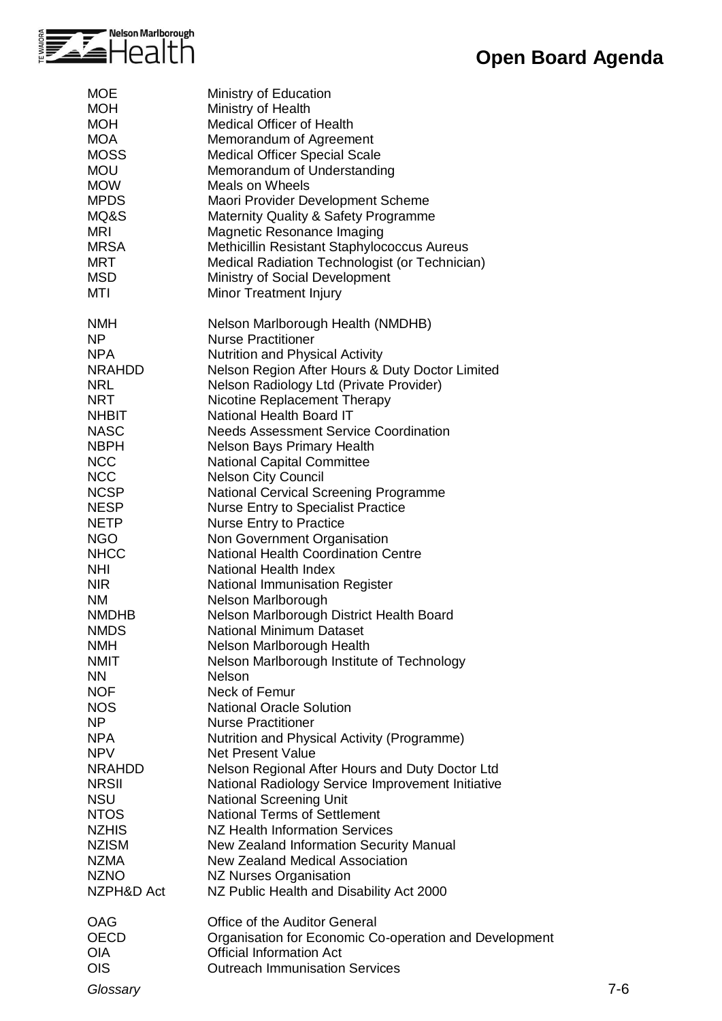

| <b>MOE</b><br><b>MOH</b><br><b>MOH</b><br><b>MOA</b><br><b>MOSS</b><br><b>MOU</b><br><b>MOW</b><br><b>MPDS</b><br>MQ&S<br><b>MRI</b><br><b>MRSA</b><br><b>MRT</b><br><b>MSD</b><br><b>MTI</b>                                                                                                                                                                                                                                                                                                                                                                           | Ministry of Education<br>Ministry of Health<br>Medical Officer of Health<br>Memorandum of Agreement<br><b>Medical Officer Special Scale</b><br>Memorandum of Understanding<br><b>Meals on Wheels</b><br>Maori Provider Development Scheme<br>Maternity Quality & Safety Programme<br>Magnetic Resonance Imaging<br>Methicillin Resistant Staphylococcus Aureus<br>Medical Radiation Technologist (or Technician)<br>Ministry of Social Development<br>Minor Treatment Injury                                                                                                                                                                                                                                                                                                                                                                                                                                                                                                                                                                                                                                                                                                                                                                                                                                                                                                                                                          |         |
|-------------------------------------------------------------------------------------------------------------------------------------------------------------------------------------------------------------------------------------------------------------------------------------------------------------------------------------------------------------------------------------------------------------------------------------------------------------------------------------------------------------------------------------------------------------------------|---------------------------------------------------------------------------------------------------------------------------------------------------------------------------------------------------------------------------------------------------------------------------------------------------------------------------------------------------------------------------------------------------------------------------------------------------------------------------------------------------------------------------------------------------------------------------------------------------------------------------------------------------------------------------------------------------------------------------------------------------------------------------------------------------------------------------------------------------------------------------------------------------------------------------------------------------------------------------------------------------------------------------------------------------------------------------------------------------------------------------------------------------------------------------------------------------------------------------------------------------------------------------------------------------------------------------------------------------------------------------------------------------------------------------------------|---------|
| <b>NMH</b><br><b>NP</b><br><b>NPA</b><br><b>NRAHDD</b><br><b>NRL</b><br><b>NRT</b><br><b>NHBIT</b><br><b>NASC</b><br><b>NBPH</b><br><b>NCC</b><br><b>NCC</b><br><b>NCSP</b><br><b>NESP</b><br><b>NETP</b><br><b>NGO</b><br><b>NHCC</b><br><b>NHI</b><br><b>NIR</b><br><b>NM</b><br><b>NMDHB</b><br><b>NMDS</b><br><b>NMH</b><br><b>NMIT</b><br><b>NN</b><br><b>NOF</b><br><b>NOS</b><br><b>NP</b><br><b>NPA</b><br><b>NPV</b><br><b>NRAHDD</b><br><b>NRSII</b><br><b>NSU</b><br><b>NTOS</b><br><b>NZHIS</b><br><b>NZISM</b><br><b>NZMA</b><br><b>NZNO</b><br>NZPH&D Act | Nelson Marlborough Health (NMDHB)<br><b>Nurse Practitioner</b><br><b>Nutrition and Physical Activity</b><br>Nelson Region After Hours & Duty Doctor Limited<br>Nelson Radiology Ltd (Private Provider)<br>Nicotine Replacement Therapy<br>National Health Board IT<br><b>Needs Assessment Service Coordination</b><br><b>Nelson Bays Primary Health</b><br><b>National Capital Committee</b><br><b>Nelson City Council</b><br><b>National Cervical Screening Programme</b><br><b>Nurse Entry to Specialist Practice</b><br><b>Nurse Entry to Practice</b><br>Non Government Organisation<br><b>National Health Coordination Centre</b><br>National Health Index<br>National Immunisation Register<br>Nelson Marlborough<br>Nelson Marlborough District Health Board<br><b>National Minimum Dataset</b><br>Nelson Marlborough Health<br>Nelson Marlborough Institute of Technology<br>Nelson<br>Neck of Femur<br><b>National Oracle Solution</b><br><b>Nurse Practitioner</b><br>Nutrition and Physical Activity (Programme)<br><b>Net Present Value</b><br>Nelson Regional After Hours and Duty Doctor Ltd<br>National Radiology Service Improvement Initiative<br><b>National Screening Unit</b><br><b>National Terms of Settlement</b><br>NZ Health Information Services<br>New Zealand Information Security Manual<br>New Zealand Medical Association<br><b>NZ Nurses Organisation</b><br>NZ Public Health and Disability Act 2000 |         |
| OAG<br><b>OECD</b><br><b>OIA</b><br><b>OIS</b><br>Glossary                                                                                                                                                                                                                                                                                                                                                                                                                                                                                                              | Office of the Auditor General<br>Organisation for Economic Co-operation and Development<br><b>Official Information Act</b><br><b>Outreach Immunisation Services</b>                                                                                                                                                                                                                                                                                                                                                                                                                                                                                                                                                                                                                                                                                                                                                                                                                                                                                                                                                                                                                                                                                                                                                                                                                                                                   | $7 - 6$ |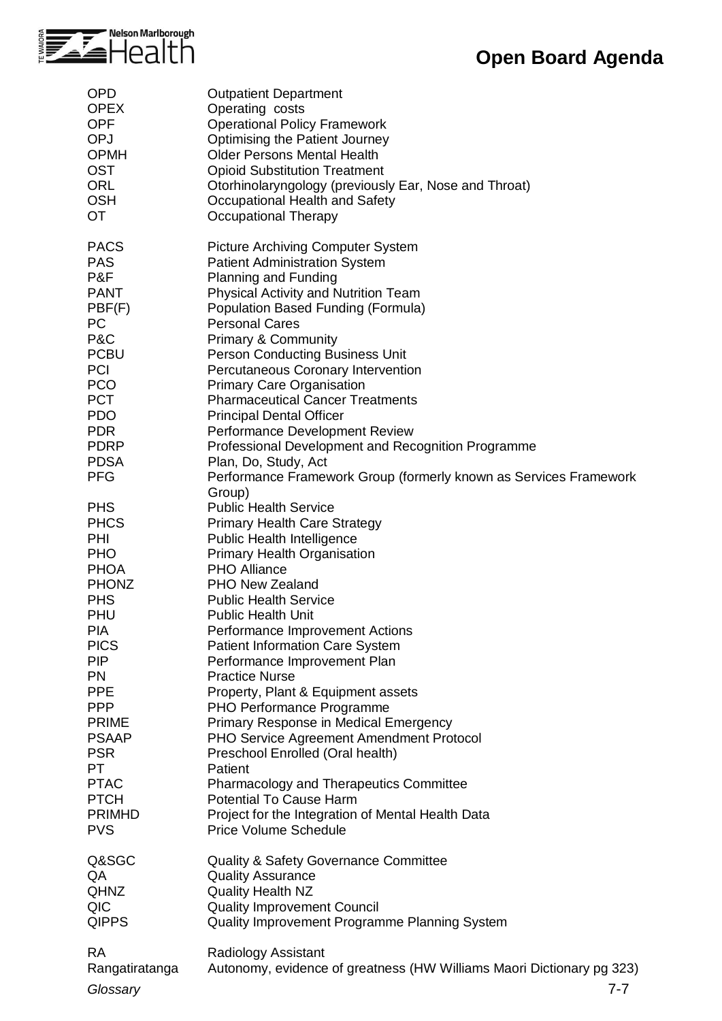

| <b>OPD</b>                                                                                                                                                                                                                                                                                               | <b>Outpatient Department</b>                                                                                                                                                                                                                                                                                                                                                                                                                                                                                                                                                                                                                                                                                                                                                   |
|----------------------------------------------------------------------------------------------------------------------------------------------------------------------------------------------------------------------------------------------------------------------------------------------------------|--------------------------------------------------------------------------------------------------------------------------------------------------------------------------------------------------------------------------------------------------------------------------------------------------------------------------------------------------------------------------------------------------------------------------------------------------------------------------------------------------------------------------------------------------------------------------------------------------------------------------------------------------------------------------------------------------------------------------------------------------------------------------------|
| <b>OPEX</b>                                                                                                                                                                                                                                                                                              | Operating costs                                                                                                                                                                                                                                                                                                                                                                                                                                                                                                                                                                                                                                                                                                                                                                |
| <b>OPF</b>                                                                                                                                                                                                                                                                                               | <b>Operational Policy Framework</b>                                                                                                                                                                                                                                                                                                                                                                                                                                                                                                                                                                                                                                                                                                                                            |
| <b>OPJ</b>                                                                                                                                                                                                                                                                                               | <b>Optimising the Patient Journey</b>                                                                                                                                                                                                                                                                                                                                                                                                                                                                                                                                                                                                                                                                                                                                          |
| <b>OPMH</b>                                                                                                                                                                                                                                                                                              | <b>Older Persons Mental Health</b>                                                                                                                                                                                                                                                                                                                                                                                                                                                                                                                                                                                                                                                                                                                                             |
| <b>OST</b>                                                                                                                                                                                                                                                                                               | <b>Opioid Substitution Treatment</b>                                                                                                                                                                                                                                                                                                                                                                                                                                                                                                                                                                                                                                                                                                                                           |
| <b>ORL</b>                                                                                                                                                                                                                                                                                               | Otorhinolaryngology (previously Ear, Nose and Throat)                                                                                                                                                                                                                                                                                                                                                                                                                                                                                                                                                                                                                                                                                                                          |
| <b>OSH</b>                                                                                                                                                                                                                                                                                               | Occupational Health and Safety                                                                                                                                                                                                                                                                                                                                                                                                                                                                                                                                                                                                                                                                                                                                                 |
| <b>OT</b>                                                                                                                                                                                                                                                                                                | <b>Occupational Therapy</b>                                                                                                                                                                                                                                                                                                                                                                                                                                                                                                                                                                                                                                                                                                                                                    |
| <b>PACS</b>                                                                                                                                                                                                                                                                                              | <b>Picture Archiving Computer System</b>                                                                                                                                                                                                                                                                                                                                                                                                                                                                                                                                                                                                                                                                                                                                       |
| <b>PAS</b>                                                                                                                                                                                                                                                                                               | <b>Patient Administration System</b>                                                                                                                                                                                                                                                                                                                                                                                                                                                                                                                                                                                                                                                                                                                                           |
| P&F                                                                                                                                                                                                                                                                                                      | Planning and Funding                                                                                                                                                                                                                                                                                                                                                                                                                                                                                                                                                                                                                                                                                                                                                           |
| <b>PANT</b>                                                                                                                                                                                                                                                                                              | Physical Activity and Nutrition Team                                                                                                                                                                                                                                                                                                                                                                                                                                                                                                                                                                                                                                                                                                                                           |
| PBF(F)                                                                                                                                                                                                                                                                                                   | Population Based Funding (Formula)                                                                                                                                                                                                                                                                                                                                                                                                                                                                                                                                                                                                                                                                                                                                             |
| <b>PC</b>                                                                                                                                                                                                                                                                                                | <b>Personal Cares</b>                                                                                                                                                                                                                                                                                                                                                                                                                                                                                                                                                                                                                                                                                                                                                          |
| P&C                                                                                                                                                                                                                                                                                                      | <b>Primary &amp; Community</b>                                                                                                                                                                                                                                                                                                                                                                                                                                                                                                                                                                                                                                                                                                                                                 |
| <b>PCBU</b>                                                                                                                                                                                                                                                                                              | Person Conducting Business Unit                                                                                                                                                                                                                                                                                                                                                                                                                                                                                                                                                                                                                                                                                                                                                |
| <b>PCI</b>                                                                                                                                                                                                                                                                                               | Percutaneous Coronary Intervention                                                                                                                                                                                                                                                                                                                                                                                                                                                                                                                                                                                                                                                                                                                                             |
| <b>PCO</b>                                                                                                                                                                                                                                                                                               | <b>Primary Care Organisation</b>                                                                                                                                                                                                                                                                                                                                                                                                                                                                                                                                                                                                                                                                                                                                               |
| <b>PCT</b>                                                                                                                                                                                                                                                                                               | <b>Pharmaceutical Cancer Treatments</b>                                                                                                                                                                                                                                                                                                                                                                                                                                                                                                                                                                                                                                                                                                                                        |
| <b>PDO</b>                                                                                                                                                                                                                                                                                               | <b>Principal Dental Officer</b>                                                                                                                                                                                                                                                                                                                                                                                                                                                                                                                                                                                                                                                                                                                                                |
| <b>PDR</b>                                                                                                                                                                                                                                                                                               | Performance Development Review                                                                                                                                                                                                                                                                                                                                                                                                                                                                                                                                                                                                                                                                                                                                                 |
| <b>PDRP</b>                                                                                                                                                                                                                                                                                              | Professional Development and Recognition Programme                                                                                                                                                                                                                                                                                                                                                                                                                                                                                                                                                                                                                                                                                                                             |
| <b>PDSA</b>                                                                                                                                                                                                                                                                                              | Plan, Do, Study, Act                                                                                                                                                                                                                                                                                                                                                                                                                                                                                                                                                                                                                                                                                                                                                           |
| <b>PFG</b>                                                                                                                                                                                                                                                                                               | Performance Framework Group (formerly known as Services Framework                                                                                                                                                                                                                                                                                                                                                                                                                                                                                                                                                                                                                                                                                                              |
| <b>PHS</b><br><b>PHCS</b><br>PHI<br><b>PHO</b><br><b>PHOA</b><br><b>PHONZ</b><br><b>PHS</b><br>PHU<br><b>PIA</b><br><b>PICS</b><br><b>PIP</b><br><b>PN</b><br><b>PPE</b><br><b>PPP</b><br><b>PRIME</b><br><b>PSAAP</b><br><b>PSR</b><br>PT.<br><b>PTAC</b><br><b>PTCH</b><br><b>PRIMHD</b><br><b>PVS</b> | Group)<br><b>Public Health Service</b><br><b>Primary Health Care Strategy</b><br>Public Health Intelligence<br><b>Primary Health Organisation</b><br><b>PHO Alliance</b><br>PHO New Zealand<br><b>Public Health Service</b><br><b>Public Health Unit</b><br>Performance Improvement Actions<br><b>Patient Information Care System</b><br>Performance Improvement Plan<br><b>Practice Nurse</b><br>Property, Plant & Equipment assets<br>PHO Performance Programme<br>Primary Response in Medical Emergency<br>PHO Service Agreement Amendment Protocol<br>Preschool Enrolled (Oral health)<br>Patient<br><b>Pharmacology and Therapeutics Committee</b><br><b>Potential To Cause Harm</b><br>Project for the Integration of Mental Health Data<br><b>Price Volume Schedule</b> |
| Q&SGC                                                                                                                                                                                                                                                                                                    | <b>Quality &amp; Safety Governance Committee</b>                                                                                                                                                                                                                                                                                                                                                                                                                                                                                                                                                                                                                                                                                                                               |
| QA                                                                                                                                                                                                                                                                                                       | <b>Quality Assurance</b>                                                                                                                                                                                                                                                                                                                                                                                                                                                                                                                                                                                                                                                                                                                                                       |
| <b>QHNZ</b>                                                                                                                                                                                                                                                                                              | <b>Quality Health NZ</b>                                                                                                                                                                                                                                                                                                                                                                                                                                                                                                                                                                                                                                                                                                                                                       |
| QIC                                                                                                                                                                                                                                                                                                      | <b>Quality Improvement Council</b>                                                                                                                                                                                                                                                                                                                                                                                                                                                                                                                                                                                                                                                                                                                                             |
| <b>QIPPS</b>                                                                                                                                                                                                                                                                                             | Quality Improvement Programme Planning System                                                                                                                                                                                                                                                                                                                                                                                                                                                                                                                                                                                                                                                                                                                                  |
| <b>RA</b>                                                                                                                                                                                                                                                                                                | Radiology Assistant                                                                                                                                                                                                                                                                                                                                                                                                                                                                                                                                                                                                                                                                                                                                                            |
| Rangatiratanga                                                                                                                                                                                                                                                                                           | Autonomy, evidence of greatness (HW Williams Maori Dictionary pg 323)                                                                                                                                                                                                                                                                                                                                                                                                                                                                                                                                                                                                                                                                                                          |
| Glossary                                                                                                                                                                                                                                                                                                 | 7-7                                                                                                                                                                                                                                                                                                                                                                                                                                                                                                                                                                                                                                                                                                                                                                            |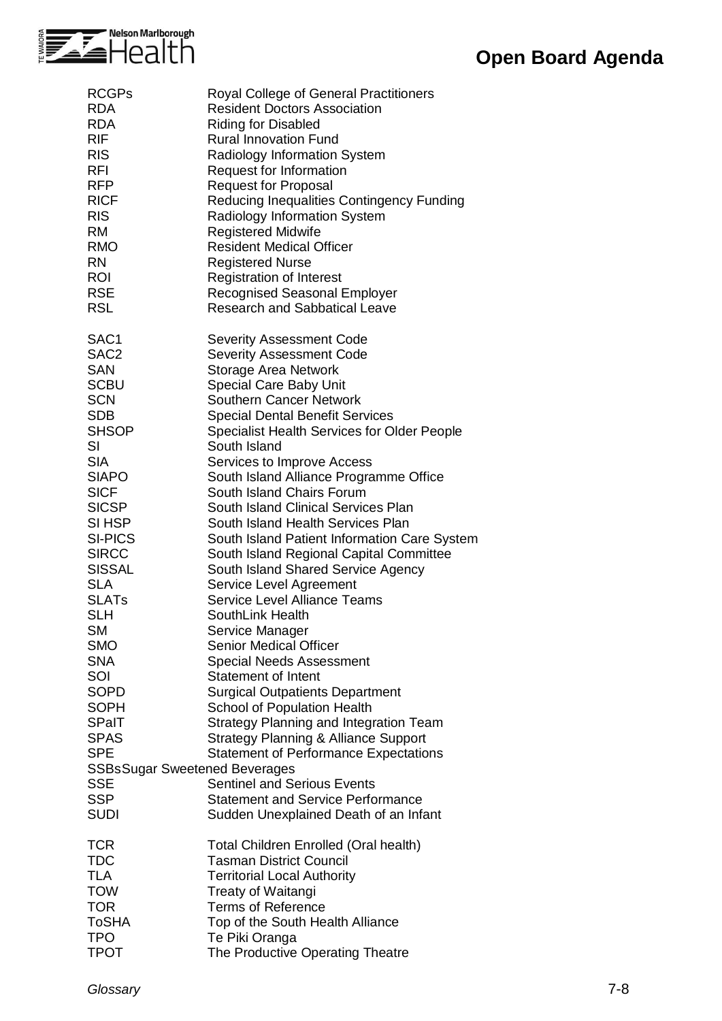

| <b>RCGPs</b>                         | Royal College of General Practitioners          |
|--------------------------------------|-------------------------------------------------|
| <b>RDA</b>                           | <b>Resident Doctors Association</b>             |
| <b>RDA</b>                           | <b>Riding for Disabled</b>                      |
| <b>RIF</b>                           | <b>Rural Innovation Fund</b>                    |
| <b>RIS</b>                           | <b>Radiology Information System</b>             |
| <b>RFI</b>                           |                                                 |
|                                      | Request for Information                         |
| <b>RFP</b>                           | <b>Request for Proposal</b>                     |
| <b>RICF</b>                          | Reducing Inequalities Contingency Funding       |
| <b>RIS</b>                           | Radiology Information System                    |
| <b>RM</b>                            | <b>Registered Midwife</b>                       |
| <b>RMO</b>                           | <b>Resident Medical Officer</b>                 |
| <b>RN</b>                            | <b>Registered Nurse</b>                         |
| <b>ROI</b>                           | <b>Registration of Interest</b>                 |
| <b>RSE</b>                           | <b>Recognised Seasonal Employer</b>             |
| <b>RSL</b>                           | <b>Research and Sabbatical Leave</b>            |
|                                      |                                                 |
|                                      |                                                 |
| SAC1                                 | <b>Severity Assessment Code</b>                 |
| SAC <sub>2</sub>                     | <b>Severity Assessment Code</b>                 |
| <b>SAN</b>                           | Storage Area Network                            |
| <b>SCBU</b>                          | Special Care Baby Unit                          |
| <b>SCN</b>                           | <b>Southern Cancer Network</b>                  |
| <b>SDB</b>                           | <b>Special Dental Benefit Services</b>          |
| <b>SHSOP</b>                         | Specialist Health Services for Older People     |
| SI                                   | South Island                                    |
| <b>SIA</b>                           | Services to Improve Access                      |
| <b>SIAPO</b>                         |                                                 |
|                                      | South Island Alliance Programme Office          |
| <b>SICF</b>                          | South Island Chairs Forum                       |
| <b>SICSP</b>                         | South Island Clinical Services Plan             |
| SI HSP                               | South Island Health Services Plan               |
| <b>SI-PICS</b>                       | South Island Patient Information Care System    |
| <b>SIRCC</b>                         | South Island Regional Capital Committee         |
| <b>SISSAL</b>                        | South Island Shared Service Agency              |
| <b>SLA</b>                           | Service Level Agreement                         |
| <b>SLATs</b>                         | <b>Service Level Alliance Teams</b>             |
| <b>SLH</b>                           | SouthLink Health                                |
|                                      |                                                 |
| <b>SM</b>                            | Service Manager                                 |
| <b>SMO</b>                           | <b>Senior Medical Officer</b>                   |
| <b>SNA</b>                           | <b>Special Needs Assessment</b>                 |
| SOI                                  | <b>Statement of Intent</b>                      |
| SOPD                                 | <b>Surgical Outpatients Department</b>          |
| <b>SOPH</b>                          | School of Population Health                     |
| <b>SPaIT</b>                         | <b>Strategy Planning and Integration Team</b>   |
| <b>SPAS</b>                          | <b>Strategy Planning &amp; Alliance Support</b> |
| <b>SPE</b>                           | <b>Statement of Performance Expectations</b>    |
|                                      |                                                 |
| <b>SSBsSugar Sweetened Beverages</b> |                                                 |
| <b>SSE</b>                           | <b>Sentinel and Serious Events</b>              |
| <b>SSP</b>                           | <b>Statement and Service Performance</b>        |
| <b>SUDI</b>                          | Sudden Unexplained Death of an Infant           |
|                                      |                                                 |
| <b>TCR</b>                           | Total Children Enrolled (Oral health)           |
| <b>TDC</b>                           | <b>Tasman District Council</b>                  |
| TLA                                  | <b>Territorial Local Authority</b>              |
| <b>TOW</b>                           | Treaty of Waitangi                              |
| <b>TOR</b>                           | <b>Terms of Reference</b>                       |
| ToSHA                                | Top of the South Health Alliance                |
| TPO                                  | Te Piki Oranga                                  |
|                                      |                                                 |
| <b>TPOT</b>                          | The Productive Operating Theatre                |